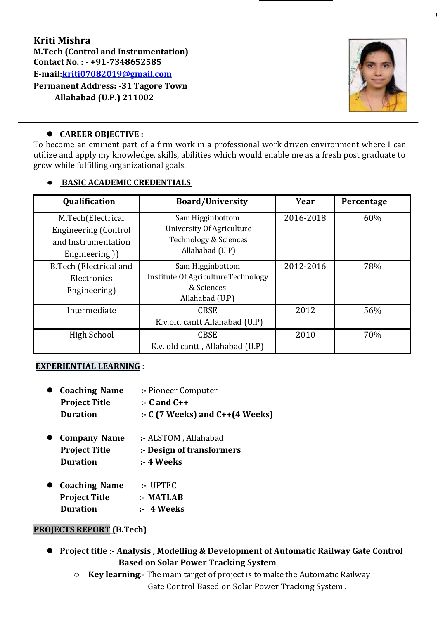# **Kriti Mishra M.Tech (Control and Instrumentation) Contact No. : - +91-7348652585 E-mail[:kriti07082019@gmail.com](mailto:kriti07082019@gmail.com)**

**Permanent Address: -31 Tagore Town Allahabad (U.P.) 211002**



### **CAREER OBJECTIVE :**

To become an eminent part of a firm work in a professional work driven environment where I can utilize and apply my knowledge, skills, abilities which would enable me as a fresh post graduate to grow while fulfilling organizational goals.

# ● **BASIC ACADEMIC CREDENTIALS**

| Qualification                 | <b>Board/University</b>             | Year      | Percentage |
|-------------------------------|-------------------------------------|-----------|------------|
| M.Tech(Electrical             | Sam Higginbottom                    | 2016-2018 | 60%        |
| <b>Engineering (Control</b>   | University Of Agriculture           |           |            |
| and Instrumentation           | Technology & Sciences               |           |            |
| Engineering)                  | Allahabad (U.P)                     |           |            |
| <b>B.Tech (Electrical and</b> | Sam Higginbottom                    | 2012-2016 | 78%        |
| Electronics                   | Institute Of Agriculture Technology |           |            |
| Engineering)                  | & Sciences                          |           |            |
|                               | Allahabad (U.P)                     |           |            |
| Intermediate                  | <b>CBSE</b>                         | 2012      | 56%        |
|                               | K.v.old cantt Allahabad (U.P)       |           |            |
| High School                   | <b>CBSE</b>                         | 2010      | 70%        |
|                               | K.v. old cantt, Allahabad (U.P)     |           |            |

### **EXPERIENTIAL LEARNING** :

| • Coaching Name      | :- Pioneer Computer                       |  |
|----------------------|-------------------------------------------|--|
| <b>Project Title</b> | $\therefore$ C and C++                    |  |
| <b>Duration</b>      | $\therefore$ C (7 Weeks) and C++(4 Weeks) |  |

- **Company Name :-** ALSTOM , Allahabad **Project Title** :- **Design of transformers Duration :- 4 Weeks**
- **Coaching Name :-** UPTEC **Project Title** :- **MATLAB Duration :- 4 Weeks**

#### **PROJECTS REPORT (B.Tech)**

- **Project title** :- **Analysis , Modelling & Development of Automatic Railway Gate Control Based on Solar Power Tracking System**
	- **Key learning**:- The main target of project is to make the Automatic Railway Gate Control Based on Solar Power Tracking System .